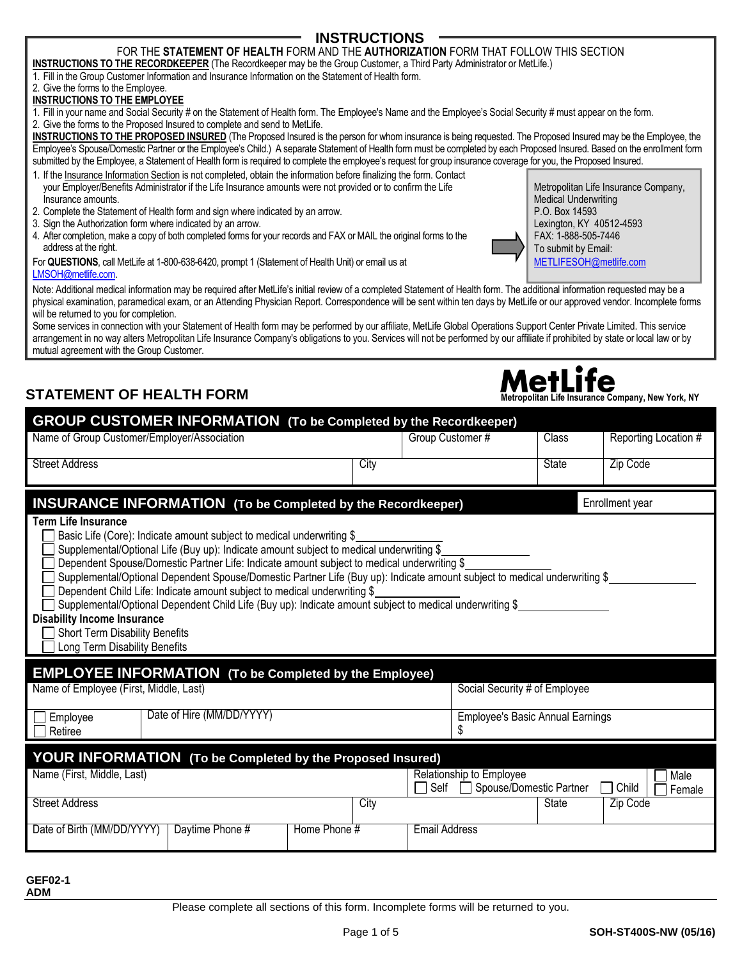# Please complete all sections of this form. Incomplete forms will be returned to you.

# Page 1 of 5 **SOH-ST400S-NW (05/16)**

#### **INSTRUCTIONS** FOR THE **STATEMENT OF HEALTH** FORM AND THE **AUTHORIZATION** FORM THAT FOLLOW THIS SECTION

- **INSTRUCTIONS TO THE RECORDKEEPER** (The Recordkeeper may be the Group Customer, a Third Party Administrator or MetLife.) 1. Fill in the Group Customer Information and Insurance Information on the Statement of Health form.
- 2. Give the forms to the Employee.

#### **INSTRUCTIONS TO THE EMPLOYEE**

1. Fill in your name and Social Security # on the Statement of Health form. The Employee's Name and the Employee's Social Security # must appear on the form.

2. Give the forms to the Proposed Insured to complete and send to MetLife.

**INSTRUCTIONS TO THE PROPOSED INSURED** (The Proposed Insured is the person for whom insurance is being requested. The Proposed Insured may be the Employee, the Employee's Spouse/Domestic Partner or the Employee's Child.) A separate Statement of Health form must be completed by each Proposed Insured. Based on the enrollment form submitted by the Employee, a Statement of Health form is required to complete the employee's request for group insurance coverage for you, the Proposed Insured.

- 1. If the Insurance Information Section is not completed, obtain the information before finalizing the form. Contact your Employer/Benefits Administrator if the Life Insurance amounts were not provided or to confirm the Life Insurance amounts.
- 2. Complete the Statement of Health form and sign where indicated by an arrow.
- 3. Sign the Authorization form where indicated by an arrow.
- 4. After completion, make a copy of both completed forms for your records and FAX or MAIL the original forms to the address at the right.

For **QUESTIONS**, call MetLife at 1-800-638-6420, prompt 1 (Statement of Health Unit) or email us at [LMSOH@metlife.com.](mailto:LMSOH@metlife.com)

Note: Additional medical information may be required after MetLife's initial review of a completed Statement of Health form. The additional information requested may be a physical examination, paramedical exam, or an Attending Physician Report. Correspondence will be sent within ten days by MetLife or our approved vendor. Incomplete forms will be returned to you for completion.

Some services in connection with your Statement of Health form may be performed by our affiliate, MetLife Global Operations Support Center Private Limited. This service arrangement in no way alters Metropolitan Life Insurance Company's obligations to you. Services will not be performed by our affiliate if prohibited by state or local law or by mutual agreement with the Group Customer.

# **STATEMENT OF HEALTH FORM METLITE**

**GEF02-1 ADM**

| <b>GROUP CUSTOMER INFORMATION</b> (To be Completed by the Recordkeeper)                                                                    |                                                                                                                                                                                                                                                                                                                                                                                                                                                                                                                                                                                    |      |                      |                                                     |              |                         |
|--------------------------------------------------------------------------------------------------------------------------------------------|------------------------------------------------------------------------------------------------------------------------------------------------------------------------------------------------------------------------------------------------------------------------------------------------------------------------------------------------------------------------------------------------------------------------------------------------------------------------------------------------------------------------------------------------------------------------------------|------|----------------------|-----------------------------------------------------|--------------|-------------------------|
| Name of Group Customer/Employer/Association                                                                                                |                                                                                                                                                                                                                                                                                                                                                                                                                                                                                                                                                                                    |      | Group Customer #     |                                                     | <b>Class</b> | Reporting Location #    |
| <b>Street Address</b>                                                                                                                      |                                                                                                                                                                                                                                                                                                                                                                                                                                                                                                                                                                                    | City |                      |                                                     | <b>State</b> | Zip Code                |
| <b>INSURANCE INFORMATION (To be Completed by the Recordkeeper)</b><br>Enrollment year                                                      |                                                                                                                                                                                                                                                                                                                                                                                                                                                                                                                                                                                    |      |                      |                                                     |              |                         |
| <b>Term Life Insurance</b><br><b>Disability Income Insurance</b><br><b>Short Term Disability Benefits</b><br>Long Term Disability Benefits | Basic Life (Core): Indicate amount subject to medical underwriting \$<br>Supplemental/Optional Life (Buy up): Indicate amount subject to medical underwriting \$<br>Dependent Spouse/Domestic Partner Life: Indicate amount subject to medical underwriting \$<br>Supplemental/Optional Dependent Spouse/Domestic Partner Life (Buy up): Indicate amount subject to medical underwriting \$<br>Dependent Child Life: Indicate amount subject to medical underwriting \$<br>Supplemental/Optional Dependent Child Life (Buy up): Indicate amount subject to medical underwriting \$ |      |                      |                                                     |              |                         |
| <b>EMPLOYEE INFORMATION</b> (To be Completed by the Employee)                                                                              |                                                                                                                                                                                                                                                                                                                                                                                                                                                                                                                                                                                    |      |                      |                                                     |              |                         |
| Name of Employee (First, Middle, Last)                                                                                                     |                                                                                                                                                                                                                                                                                                                                                                                                                                                                                                                                                                                    |      |                      | Social Security # of Employee                       |              |                         |
| Employee<br>Retiree                                                                                                                        | Date of Hire (MM/DD/YYYY)                                                                                                                                                                                                                                                                                                                                                                                                                                                                                                                                                          |      |                      | Employee's Basic Annual Earnings<br>\$              |              |                         |
| <b>YOUR INFORMATION</b> (To be Completed by the Proposed Insured)                                                                          |                                                                                                                                                                                                                                                                                                                                                                                                                                                                                                                                                                                    |      |                      |                                                     |              |                         |
| Name (First, Middle, Last)                                                                                                                 |                                                                                                                                                                                                                                                                                                                                                                                                                                                                                                                                                                                    |      | Self                 | Relationship to Employee<br>Spouse/Domestic Partner |              | Male<br>Child<br>Female |
| <b>Street Address</b>                                                                                                                      |                                                                                                                                                                                                                                                                                                                                                                                                                                                                                                                                                                                    | City |                      |                                                     | <b>State</b> | Zip Code                |
| Date of Birth (MM/DD/YYYY)                                                                                                                 | Daytime Phone #<br>Home Phone #                                                                                                                                                                                                                                                                                                                                                                                                                                                                                                                                                    |      | <b>Email Address</b> |                                                     |              |                         |
|                                                                                                                                            |                                                                                                                                                                                                                                                                                                                                                                                                                                                                                                                                                                                    |      |                      |                                                     |              |                         |

Metropolitan Life Insurance Company, Medical Underwriting P.O. Box 14593 Lexington, KY 40512-4593 FAX: 1-888-505-7446 To submit by Email:

[METLIFESOH@metlife.com](mailto:METLIFESOH@metlife.com)

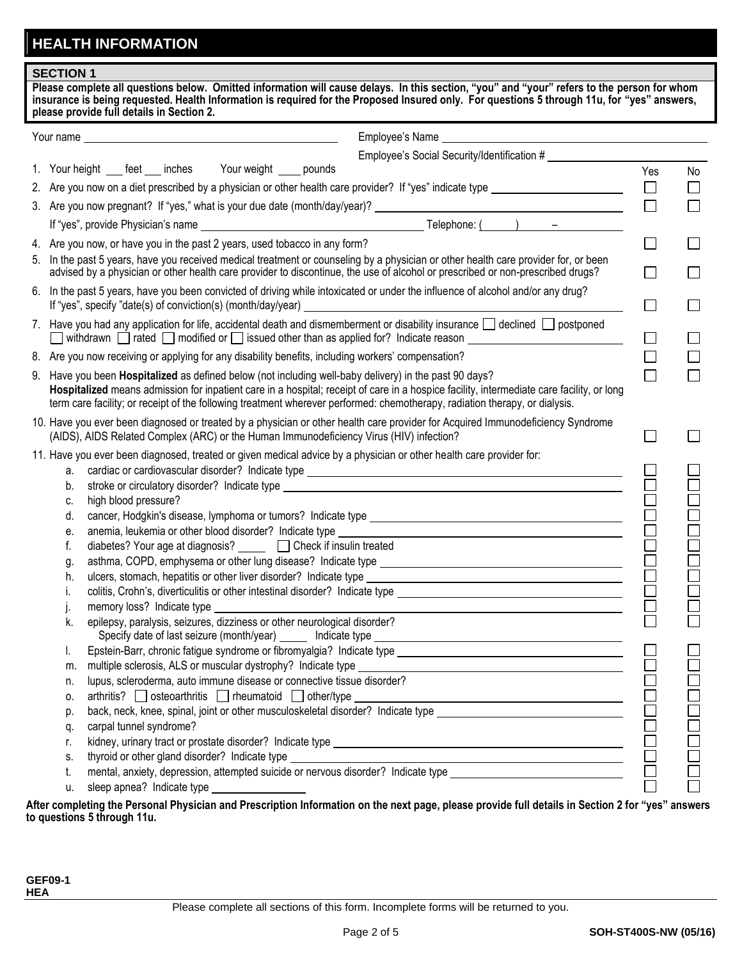# **HEALTH INFORMATION**

| please provide full details in Section 2.<br>Employee's Social Security/Identification #<br>1. Your height ___ feet ___ inches Your weight ____ pounds<br>Yes<br>$\Box$                                                                                                  | No |  |  |  |
|--------------------------------------------------------------------------------------------------------------------------------------------------------------------------------------------------------------------------------------------------------------------------|----|--|--|--|
|                                                                                                                                                                                                                                                                          |    |  |  |  |
|                                                                                                                                                                                                                                                                          |    |  |  |  |
|                                                                                                                                                                                                                                                                          |    |  |  |  |
|                                                                                                                                                                                                                                                                          |    |  |  |  |
|                                                                                                                                                                                                                                                                          |    |  |  |  |
|                                                                                                                                                                                                                                                                          |    |  |  |  |
|                                                                                                                                                                                                                                                                          |    |  |  |  |
| $\Box$<br>4. Are you now, or have you in the past 2 years, used tobacco in any form?                                                                                                                                                                                     |    |  |  |  |
| 5. In the past 5 years, have you received medical treatment or counseling by a physician or other health care provider for, or been<br>advised by a physician or other health care provider to discontinue, the use of alcohol or prescribed or non-prescribed drugs?    |    |  |  |  |
| 6. In the past 5 years, have you been convicted of driving while intoxicated or under the influence of alcohol and/or any drug?<br>If "yes", specify "date(s) of conviction(s) (month/day/year)                                                                          |    |  |  |  |
| 7. Have you had any application for life, accidental death and dismemberment or disability insurance $\Box$ declined $\Box$ postponed<br>□ withdrawn □ rated □ modified or □ issued other than as applied for? Indicate reason _________________________<br>$\Box$       |    |  |  |  |
| 8. Are you now receiving or applying for any disability benefits, including workers' compensation?                                                                                                                                                                       |    |  |  |  |
| 9. Have you been Hospitalized as defined below (not including well-baby delivery) in the past 90 days?                                                                                                                                                                   |    |  |  |  |
| Hospitalized means admission for inpatient care in a hospital; receipt of care in a hospice facility, intermediate care facility, or long<br>term care facility; or receipt of the following treatment wherever performed: chemotherapy, radiation therapy, or dialysis. |    |  |  |  |
| 10. Have you ever been diagnosed or treated by a physician or other health care provider for Acquired Immunodeficiency Syndrome<br>(AIDS), AIDS Related Complex (ARC) or the Human Immunodeficiency Virus (HIV) infection?                                               |    |  |  |  |
| 11. Have you ever been diagnosed, treated or given medical advice by a physician or other health care provider for:                                                                                                                                                      |    |  |  |  |
| a.                                                                                                                                                                                                                                                                       |    |  |  |  |
| b.                                                                                                                                                                                                                                                                       |    |  |  |  |
| high blood pressure?<br>C.                                                                                                                                                                                                                                               |    |  |  |  |
| d.                                                                                                                                                                                                                                                                       |    |  |  |  |
| е.                                                                                                                                                                                                                                                                       |    |  |  |  |
| diabetes? Your age at diagnosis? ______ □ Check if insulin treated<br>f.                                                                                                                                                                                                 |    |  |  |  |
| g.                                                                                                                                                                                                                                                                       |    |  |  |  |
| h.                                                                                                                                                                                                                                                                       |    |  |  |  |
| İ.                                                                                                                                                                                                                                                                       |    |  |  |  |
| memory loss? Indicate type                                                                                                                                                                                                                                               |    |  |  |  |
| epilepsy, paralysis, seizures, dizziness or other neurological disorder?<br>k.                                                                                                                                                                                           |    |  |  |  |
| I.                                                                                                                                                                                                                                                                       |    |  |  |  |
| m.                                                                                                                                                                                                                                                                       |    |  |  |  |
| lupus, scleroderma, auto immune disease or connective tissue disorder?<br>n.                                                                                                                                                                                             |    |  |  |  |
| 0.                                                                                                                                                                                                                                                                       |    |  |  |  |
| p.                                                                                                                                                                                                                                                                       |    |  |  |  |
| q.                                                                                                                                                                                                                                                                       |    |  |  |  |
| r.                                                                                                                                                                                                                                                                       |    |  |  |  |
| thyroid or other gland disorder? Indicate type<br>S.                                                                                                                                                                                                                     |    |  |  |  |
| mental, anxiety, depression, attempted suicide or nervous disorder? Indicate type ____________________________<br>t.                                                                                                                                                     |    |  |  |  |
| sleep apnea? Indicate type ___________________<br>u.<br>offer completing the Personal Physician and Prescription Information on the next nage, places provide full details in Section 2 for "yea" anguara                                                                |    |  |  |  |

**After completing the Personal Physician and Prescription Information on the next page, please provide full details in Section 2 for "yes" answers to questions 5 through 11u.**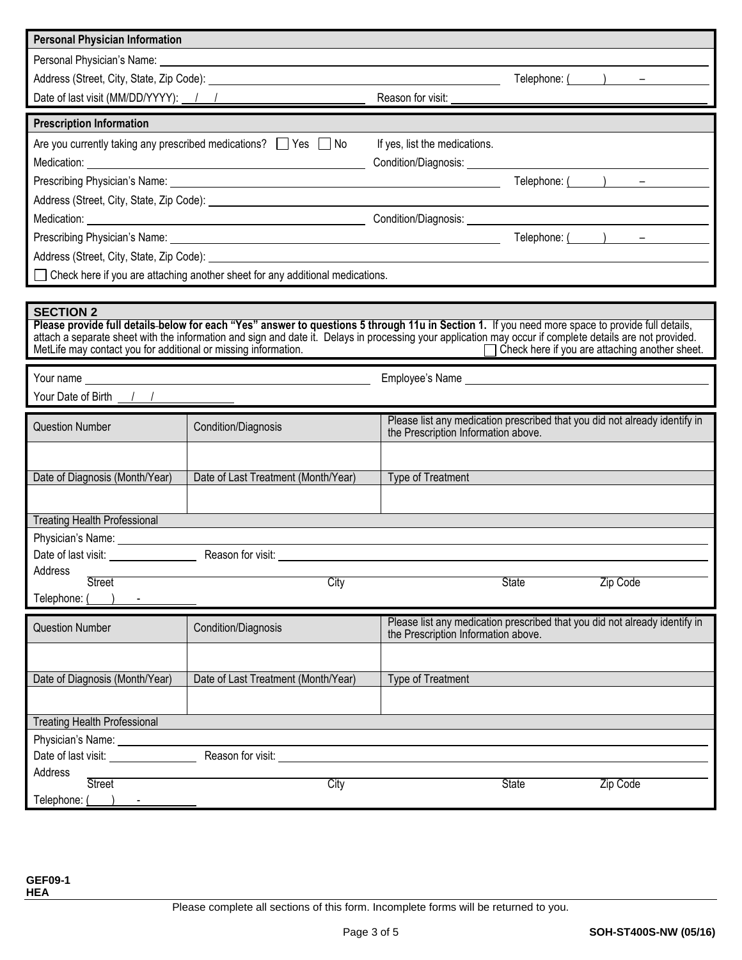| <b>Personal Physician Information</b>                                                                                                                                                                                                |                                                                                 |                                                                                                                                                                                                                                |  |  |  |
|--------------------------------------------------------------------------------------------------------------------------------------------------------------------------------------------------------------------------------------|---------------------------------------------------------------------------------|--------------------------------------------------------------------------------------------------------------------------------------------------------------------------------------------------------------------------------|--|--|--|
| Personal Physician's Name: <u>example and the set of the set of the set of the set of the set of the set of the set of the set of the set of the set of the set of the set of the set of the set of the set of the set of the se</u> |                                                                                 |                                                                                                                                                                                                                                |  |  |  |
|                                                                                                                                                                                                                                      |                                                                                 | $\text{Telephone:}$ $($ $)$ $-$                                                                                                                                                                                                |  |  |  |
| Date of last visit (MM/DD/YYYY): / /                                                                                                                                                                                                 |                                                                                 | Reason for visit:                                                                                                                                                                                                              |  |  |  |
|                                                                                                                                                                                                                                      |                                                                                 |                                                                                                                                                                                                                                |  |  |  |
| <b>Prescription Information</b>                                                                                                                                                                                                      |                                                                                 |                                                                                                                                                                                                                                |  |  |  |
|                                                                                                                                                                                                                                      | Are you currently taking any prescribed medications? The Yes Tho                | If yes, list the medications.                                                                                                                                                                                                  |  |  |  |
|                                                                                                                                                                                                                                      |                                                                                 |                                                                                                                                                                                                                                |  |  |  |
|                                                                                                                                                                                                                                      |                                                                                 | Telephone: $($ $)$ $-$                                                                                                                                                                                                         |  |  |  |
|                                                                                                                                                                                                                                      |                                                                                 |                                                                                                                                                                                                                                |  |  |  |
|                                                                                                                                                                                                                                      |                                                                                 |                                                                                                                                                                                                                                |  |  |  |
|                                                                                                                                                                                                                                      |                                                                                 | Telephone: $($ $)$ $-$                                                                                                                                                                                                         |  |  |  |
|                                                                                                                                                                                                                                      |                                                                                 | Address (Street, City, State, Zip Code): example and the state of the state of the state of the state of the state of the state of the state of the state of the state of the state of the state of the state of the state of  |  |  |  |
|                                                                                                                                                                                                                                      | □ Check here if you are attaching another sheet for any additional medications. |                                                                                                                                                                                                                                |  |  |  |
|                                                                                                                                                                                                                                      |                                                                                 |                                                                                                                                                                                                                                |  |  |  |
| <b>SECTION 2</b>                                                                                                                                                                                                                     |                                                                                 |                                                                                                                                                                                                                                |  |  |  |
|                                                                                                                                                                                                                                      |                                                                                 | Please provide full details-below for each "Yes" answer to questions 5 through 11u in Section 1. If you need more space to provide full details,                                                                               |  |  |  |
| MetLife may contact you for additional or missing information.                                                                                                                                                                       |                                                                                 | attach a separate sheet with the information and sign and date it. Delays in processing your application may occur if complete details are not provided.<br>Check here if you are attaching another sheet.<br>$\mathbf{L}$     |  |  |  |
|                                                                                                                                                                                                                                      |                                                                                 |                                                                                                                                                                                                                                |  |  |  |
|                                                                                                                                                                                                                                      |                                                                                 | Employee's Name experience and the state of the state of the state of the state of the state of the state of the state of the state of the state of the state of the state of the state of the state of the state of the state |  |  |  |
| Your Date of Birth $\frac{1}{1}$                                                                                                                                                                                                     |                                                                                 |                                                                                                                                                                                                                                |  |  |  |
| Question Number                                                                                                                                                                                                                      | <b>Condition/Diagnosis</b>                                                      | Please list any medication prescribed that you did not already identify in<br>the Prescription Information above.                                                                                                              |  |  |  |
|                                                                                                                                                                                                                                      |                                                                                 |                                                                                                                                                                                                                                |  |  |  |
|                                                                                                                                                                                                                                      |                                                                                 |                                                                                                                                                                                                                                |  |  |  |
| Date of Diagnosis (Month/Year)                                                                                                                                                                                                       | Date of Last Treatment (Month/Year)                                             | Type of Treatment                                                                                                                                                                                                              |  |  |  |
|                                                                                                                                                                                                                                      |                                                                                 |                                                                                                                                                                                                                                |  |  |  |
| <b>Treating Health Professional</b>                                                                                                                                                                                                  |                                                                                 |                                                                                                                                                                                                                                |  |  |  |
|                                                                                                                                                                                                                                      |                                                                                 |                                                                                                                                                                                                                                |  |  |  |
|                                                                                                                                                                                                                                      |                                                                                 |                                                                                                                                                                                                                                |  |  |  |
| Address                                                                                                                                                                                                                              |                                                                                 |                                                                                                                                                                                                                                |  |  |  |
| <b>Street</b>                                                                                                                                                                                                                        | City                                                                            | <b>State</b><br>Zip Code                                                                                                                                                                                                       |  |  |  |
| Telephone:                                                                                                                                                                                                                           |                                                                                 |                                                                                                                                                                                                                                |  |  |  |
| <b>Question Number</b>                                                                                                                                                                                                               | Condition/Diagnosis                                                             | Please list any medication prescribed that you did not already identify in                                                                                                                                                     |  |  |  |
|                                                                                                                                                                                                                                      |                                                                                 | the Prescription Information above.                                                                                                                                                                                            |  |  |  |
|                                                                                                                                                                                                                                      |                                                                                 |                                                                                                                                                                                                                                |  |  |  |
| Date of Diagnosis (Month/Year)                                                                                                                                                                                                       | Date of Last Treatment (Month/Year)                                             | Type of Treatment                                                                                                                                                                                                              |  |  |  |
|                                                                                                                                                                                                                                      |                                                                                 |                                                                                                                                                                                                                                |  |  |  |
|                                                                                                                                                                                                                                      |                                                                                 |                                                                                                                                                                                                                                |  |  |  |
| <b>Treating Health Professional</b>                                                                                                                                                                                                  |                                                                                 |                                                                                                                                                                                                                                |  |  |  |
| Date of last visit: <u>_________________</u>                                                                                                                                                                                         |                                                                                 |                                                                                                                                                                                                                                |  |  |  |
| Address                                                                                                                                                                                                                              |                                                                                 |                                                                                                                                                                                                                                |  |  |  |
| <b>Street</b>                                                                                                                                                                                                                        | City                                                                            | <b>State</b><br>Zip Code                                                                                                                                                                                                       |  |  |  |
| Telephone: (                                                                                                                                                                                                                         |                                                                                 |                                                                                                                                                                                                                                |  |  |  |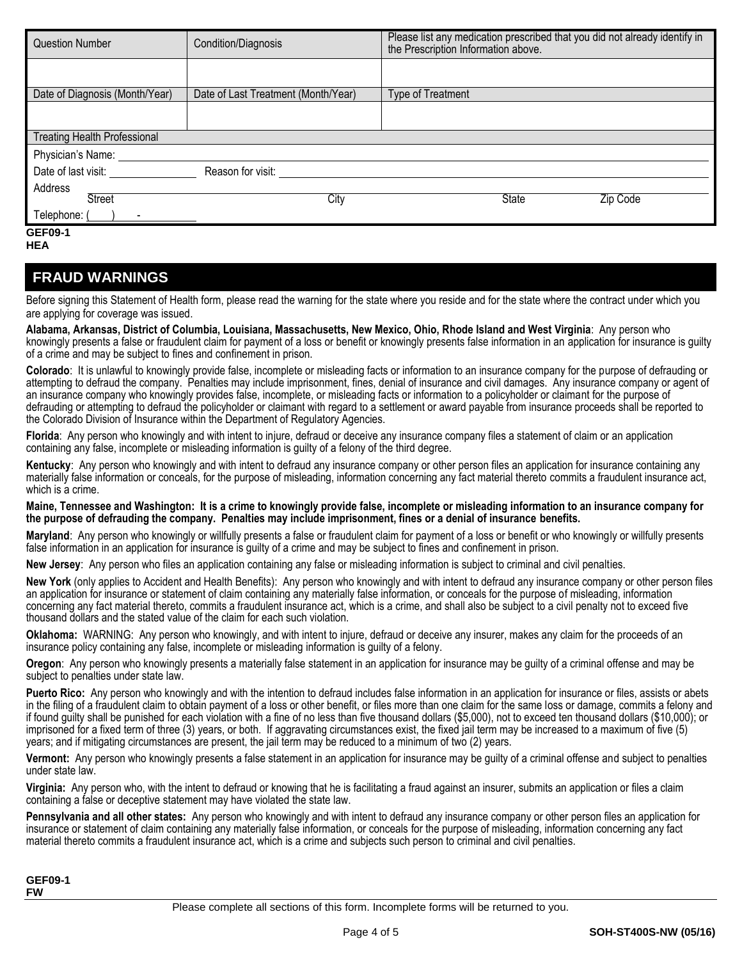| <b>Question Number</b>                      | Condition/Diagnosis                 | Please list any medication prescribed that you did not already identify in<br>the Prescription Information above. |
|---------------------------------------------|-------------------------------------|-------------------------------------------------------------------------------------------------------------------|
|                                             |                                     |                                                                                                                   |
| Date of Diagnosis (Month/Year)              | Date of Last Treatment (Month/Year) | Type of Treatment                                                                                                 |
|                                             |                                     |                                                                                                                   |
| <b>Treating Health Professional</b>         |                                     |                                                                                                                   |
| Physician's Name: ____                      |                                     |                                                                                                                   |
|                                             | Reason for visit:                   |                                                                                                                   |
| Address                                     |                                     |                                                                                                                   |
| <b>Street</b>                               | City                                | <b>State</b><br>Zip Code                                                                                          |
| Telephone: (<br>$\sim$ $\sim$ $\sim$ $\sim$ |                                     |                                                                                                                   |
| <b>GEF09-1</b>                              |                                     |                                                                                                                   |

**HEA**

### **FRAUD WARNINGS**

Before signing this Statement of Health form, please read the warning for the state where you reside and for the state where the contract under which you are applying for coverage was issued.

**Alabama, Arkansas, District of Columbia, Louisiana, Massachusetts, New Mexico, Ohio, Rhode Island and West Virginia**: Any person who knowingly presents a false or fraudulent claim for payment of a loss or benefit or knowingly presents false information in an application for insurance is guilty of a crime and may be subject to fines and confinement in prison.

**Colorado**: It is unlawful to knowingly provide false, incomplete or misleading facts or information to an insurance company for the purpose of defrauding or attempting to defraud the company. Penalties may include imprisonment, fines, denial of insurance and civil damages. Any insurance company or agent of an insurance company who knowingly provides false, incomplete, or misleading facts or information to a policyholder or claimant for the purpose of defrauding or attempting to defraud the policyholder or claimant with regard to a settlement or award payable from insurance proceeds shall be reported to the Colorado Division of Insurance within the Department of Regulatory Agencies.

**Florida**: Any person who knowingly and with intent to injure, defraud or deceive any insurance company files a statement of claim or an application containing any false, incomplete or misleading information is guilty of a felony of the third degree.

**Kentucky**: Any person who knowingly and with intent to defraud any insurance company or other person files an application for insurance containing any materially false information or conceals, for the purpose of misleading, information concerning any fact material thereto commits a fraudulent insurance act, which is a crime.

#### **Maine, Tennessee and Washington: It is a crime to knowingly provide false, incomplete or misleading information to an insurance company for the purpose of defrauding the company. Penalties may include imprisonment, fines or a denial of insurance benefits.**

**Maryland**: Any person who knowingly or willfully presents a false or fraudulent claim for payment of a loss or benefit or who knowingly or willfully presents false information in an application for insurance is guilty of a crime and may be subject to fines and confinement in prison.

**New Jersey**: Any person who files an application containing any false or misleading information is subject to criminal and civil penalties.

**New York** (only applies to Accident and Health Benefits): Any person who knowingly and with intent to defraud any insurance company or other person files an application for insurance or statement of claim containing any materially false information, or conceals for the purpose of misleading, information concerning any fact material thereto, commits a fraudulent insurance act, which is a crime, and shall also be subject to a civil penalty not to exceed five thousand dollars and the stated value of the claim for each such violation.

**Oklahoma:** WARNING: Any person who knowingly, and with intent to injure, defraud or deceive any insurer, makes any claim for the proceeds of an insurance policy containing any false, incomplete or misleading information is guilty of a felony.

**Oregon**: Any person who knowingly presents a materially false statement in an application for insurance may be guilty of a criminal offense and may be subject to penalties under state law.

**Puerto Rico:** Any person who knowingly and with the intention to defraud includes false information in an application for insurance or files, assists or abets in the filing of a fraudulent claim to obtain payment of a loss or other benefit, or files more than one claim for the same loss or damage, commits a felony and if found guilty shall be punished for each violation with a fine of no less than five thousand dollars (\$5,000), not to exceed ten thousand dollars (\$10,000); or imprisoned for a fixed term of three (3) years, or both. If aggravating circumstances exist, the fixed jail term may be increased to a maximum of five (5) years; and if mitigating circumstances are present, the jail term may be reduced to a minimum of two (2) years.

**Vermont:** Any person who knowingly presents a false statement in an application for insurance may be guilty of a criminal offense and subject to penalties under state law.

**Virginia:** Any person who, with the intent to defraud or knowing that he is facilitating a fraud against an insurer, submits an application or files a claim containing a false or deceptive statement may have violated the state law.

**Pennsylvania and all other states:** Any person who knowingly and with intent to defraud any insurance company or other person files an application for insurance or statement of claim containing any materially false information, or conceals for the purpose of misleading, information concerning any fact material thereto commits a fraudulent insurance act, which is a crime and subjects such person to criminal and civil penalties.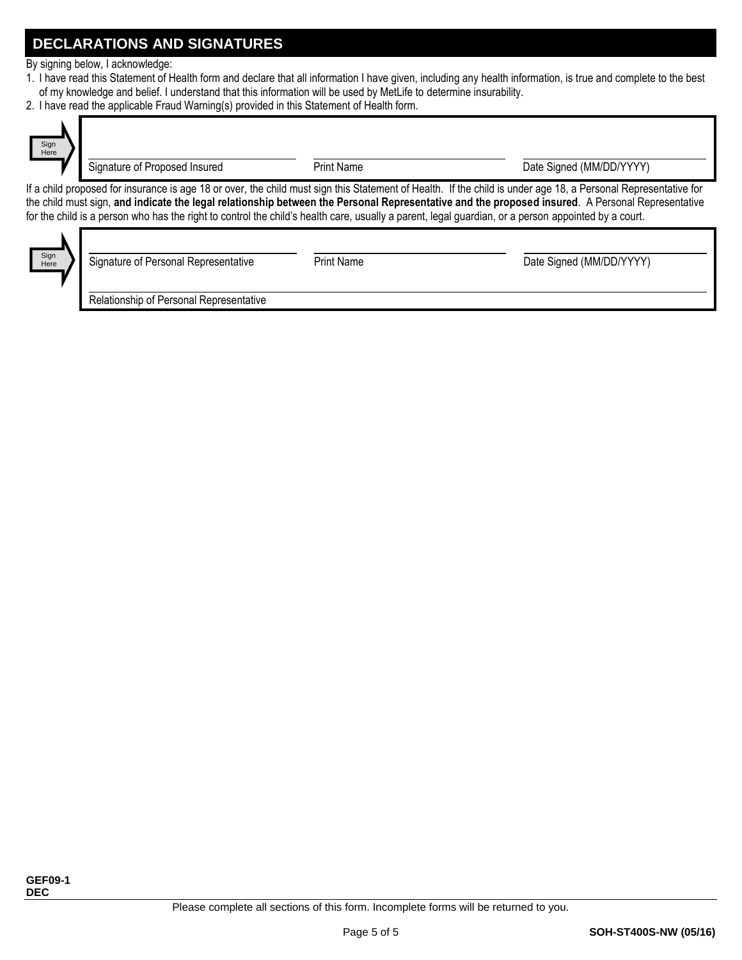## **DECLARATIONS AND SIGNATURES**

By signing below, I acknowledge:

- 1. I have read this Statement of Health form and declare that all information I have given, including any health information, is true and complete to the best of my knowledge and belief. I understand that this information will be used by MetLife to determine insurability.
- 2. I have read the applicable Fraud Warning(s) provided in this Statement of Health form.



Signature of Proposed Insured **Proposed Insured** Print Name **Date Signed (MM/DD/YYYY)** 

If a child proposed for insurance is age 18 or over, the child must sign this Statement of Health. If the child is under age 18, a Personal Representative for the child must sign, **and indicate the legal relationship between the Personal Representative and the proposed insured**. A Personal Representative for the child is a person who has the right to control the child's health care, usually a parent, legal guardian, or a person appointed by a court.